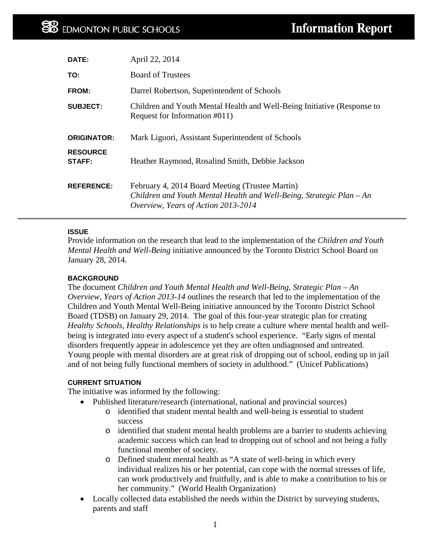| DATE:                            | April 22, 2014                                                                                           |
|----------------------------------|----------------------------------------------------------------------------------------------------------|
| TO:                              | <b>Board of Trustees</b>                                                                                 |
| FROM:                            | Darrel Robertson, Superintendent of Schools                                                              |
| <b>SUBJECT:</b>                  | Children and Youth Mental Health and Well-Being Initiative (Response to<br>Request for Information #011) |
| <b>ORIGINATOR:</b>               | Mark Liguori, Assistant Superintendent of Schools                                                        |
| <b>RESOURCE</b><br><b>STAFF:</b> | Heather Raymond, Rosalind Smith, Debbie Jackson                                                          |
|                                  |                                                                                                          |

#### **ISSUE**

Provide information on the research that lead to the implementation of the *Children and Youth Mental Health and Well-Being* initiative announced by the Toronto District School Board on January 28, 2014.

#### **BACKGROUND**

The document *Children and Youth Mental Health and Well-Being, Strategic Plan – An Overview, Years of Action 2013-14* outlines the research that led to the implementation of the Children and Youth Mental Well-Being initiative announced by the Toronto District School Board (TDSB) on January 29, 2014. The goal of this four-year strategic plan for creating *Healthy Schools, Healthy Relationships* is to help create a culture where mental health and wellbeing is integrated into every aspect of a student's school experience. "Early signs of mental disorders frequently appear in adolescence yet they are often undiagnosed and untreated. Young people with mental disorders are at great risk of dropping out of school, ending up in jail and of not being fully functional members of society in adulthood." (Unicef Publications)

#### **CURRENT SITUATION**

The initiative was informed by the following:

- Published literature/research (international, national and provincial sources)
	- o identified that student mental health and well-being is essential to student success
	- o identified that student mental health problems are a barrier to students achieving academic success which can lead to dropping out of school and not being a fully functional member of society.
	- o Defined student mental health as "A state of well-being in which every individual realizes his or her potential, can cope with the normal stresses of life, can work productively and fruitfully, and is able to make a contribution to his or her community." (World Health Organization)
- Locally collected data established the needs within the District by surveying students, parents and staff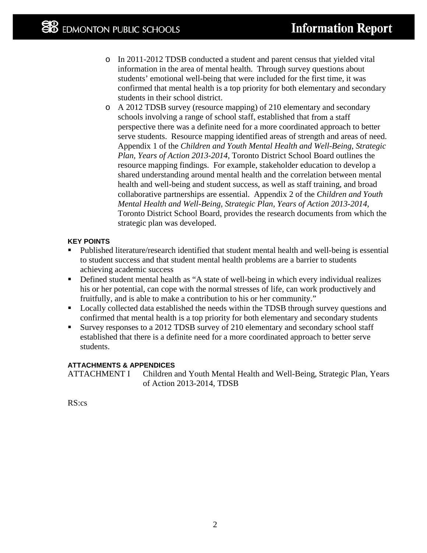- o In 2011-2012 TDSB conducted a student and parent census that yielded vital information in the area of mental health. Through survey questions about students' emotional well-being that were included for the first time, it was confirmed that mental health is a top priority for both elementary and secondary students in their school district.
- o A 2012 TDSB survey (resource mapping) of 210 elementary and secondary schools involving a range of school staff, established that from a staff perspective there was a definite need for a more coordinated approach to better serve students. Resource mapping identified areas of strength and areas of need. Appendix 1 of the *Children and Youth Mental Health and Well-Being, Strategic Plan, Years of Action 2013-2014,* Toronto District School Board outlines the resource mapping findings. For example, stakeholder education to develop a shared understanding around mental health and the correlation between mental health and well-being and student success, as well as staff training, and broad collaborative partnerships are essential. Appendix 2 of the *Children and Youth Mental Health and Well-Being, Strategic Plan, Years of Action 2013-2014,* Toronto District School Board, provides the research documents from which the strategic plan was developed.

#### **KEY POINTS**

- Published literature/research identified that student mental health and well-being is essential to student success and that student mental health problems are a barrier to students achieving academic success
- Defined student mental health as "A state of well-being in which every individual realizes his or her potential, can cope with the normal stresses of life, can work productively and fruitfully, and is able to make a contribution to his or her community."
- Locally collected data established the needs within the TDSB through survey questions and confirmed that mental health is a top priority for both elementary and secondary students
- Survey responses to a 2012 TDSB survey of 210 elementary and secondary school staff established that there is a definite need for a more coordinated approach to better serve students.

#### **ATTACHMENTS & APPENDICES**

ATTACHMENT I Children and Youth Mental Health and Well-Being, Strategic Plan, Years of Action 2013-2014, TDSB

RS:cs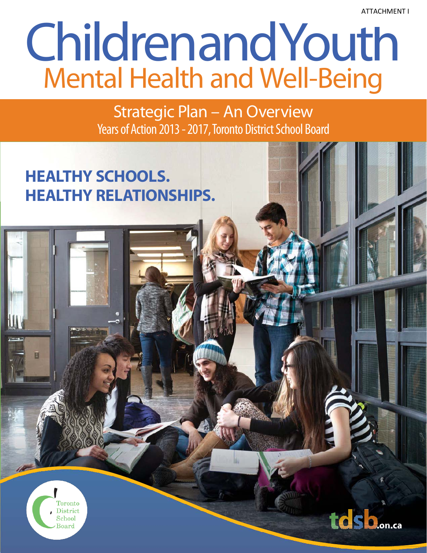ATTACHMENT I

# ChildrenandYouth Mental Health and Well-Being

Strategic Plan – An Overview Years of Action 2013 - 2017, Toronto District School Board

## **HEALTHY SCHOOLS. HEALTHY RELATIONSHIPS.**



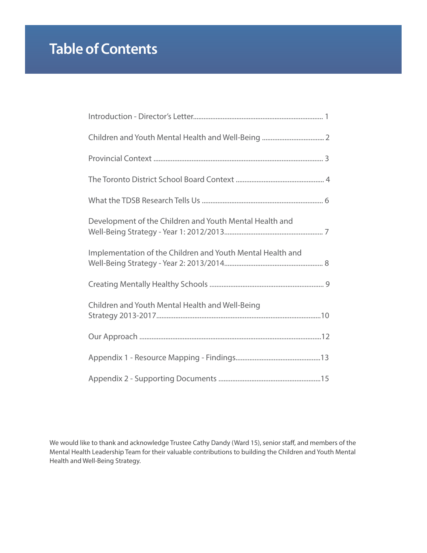## **Table of Contents**

| Development of the Children and Youth Mental Health and    |
|------------------------------------------------------------|
| Implementation of the Children and Youth Mental Health and |
|                                                            |
| Children and Youth Mental Health and Well-Being            |
|                                                            |
|                                                            |
|                                                            |

We would like to thank and acknowledge Trustee Cathy Dandy (Ward 15), senior staff, and members of the Mental Health Leadership Team for their valuable contributions to building the Children and Youth Mental Health and Well-Being Strategy.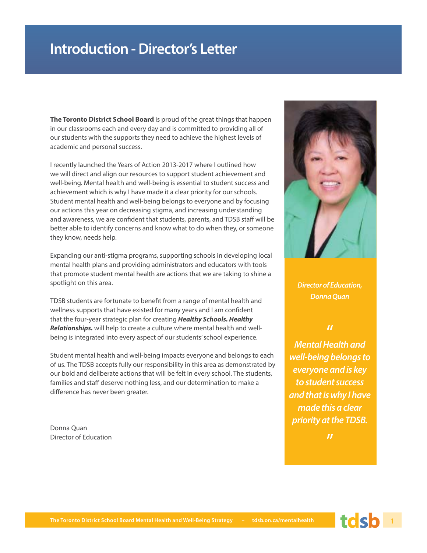## **Introduction - Director's Letter**

**The Toronto District School Board** is proud of the great things that happen in our classrooms each and every day and is committed to providing all of our students with the supports they need to achieve the highest levels of academic and personal success.

I recently launched the Years of Action 2013-2017 where I outlined how we will direct and align our resources to support student achievement and well-being. Mental health and well-being is essential to student success and achievement which is why I have made it a clear priority for our schools. Student mental health and well-being belongs to everyone and by focusing our actions this year on decreasing stigma, and increasing understanding and awareness, we are confident that students, parents, and TDSB staff will be better able to identify concerns and know what to do when they, or someone they know, needs help.

Expanding our anti-stigma programs, supporting schools in developing local mental health plans and providing administrators and educators with tools that promote student mental health are actions that we are taking to shine a spotlight on this area.

TDSB students are fortunate to benefit from a range of mental health and wellness supports that have existed for many years and I am confident that the four-year strategic plan for creating *Healthy Schools. Healthy Relationships.* will help to create a culture where mental health and wellbeing is integrated into every aspect of our students' school experience.

Student mental health and well-being impacts everyone and belongs to each of us. The TDSB accepts fully our responsibility in this area as demonstrated by our bold and deliberate actions that will be felt in every school. The students, families and staff deserve nothing less, and our determination to make a difference has never been greater.

Donna Quan Director of Education



**Director of Education, Donna Quan** 

#### $\boldsymbol{\mathcal{U}}$

**Mental Health and well-being belongs to everyone and is key to student success and that is why I have made this a clear priority at the TDSB.**

 $\boldsymbol{\mathcal{H}}$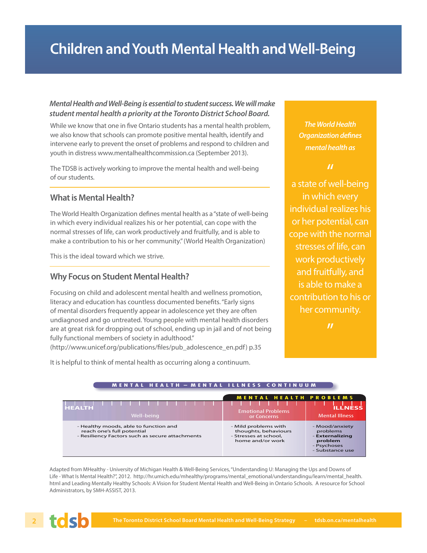## **Children and Youth Mental Health and Well-Being**

#### **Mental Health and Well-Being is essential to student success. We will make student mental health a priority at the Toronto District School Board.**

While we know that one in five Ontario students has a mental health problem, we also know that schools can promote positive mental health, identify and intervene early to prevent the onset of problems and respond to children and youth in distress www.mentalhealthcommission.ca (September 2013).

The TDSB is actively working to improve the mental health and well-being of our students.

#### **What is Mental Health?**

The World Health Organization defines mental health as a "state of well-being in which every individual realizes his or her potential, can cope with the normal stresses of life, can work productively and fruitfully, and is able to make a contribution to his or her community." (World Health Organization)

This is the ideal toward which we strive.

#### **Why Focus on Student Mental Health?**

Focusing on child and adolescent mental health and wellness promotion, literacy and education has countless documented benefits. "Early signs of mental disorders frequently appear in adolescence yet they are often undiagnosed and go untreated. Young people with mental health disorders are at great risk for dropping out of school, ending up in jail and of not being fully functional members of society in adulthood."

(http://www.unicef.org/publications/files/pub\_adolescence\_en.pdf) p.35

**The World Health Organization defines mental health as**

#### "

a state of well-being in which every individual realizes his or her potential, can cope with the normal stresses of life, can work productively and fruitfully, and is able to make a contribution to his or her community.

 $\boldsymbol{\mathcal{U}}$ 

It is helpful to think of mental health as occurring along a continuum.

| <b>HEALTH</b><br>Well-being                                                                                            | <b>MENTAL HEALTH PROBLEMS</b><br><b>Emotional Problems</b><br>or Concerns                 | <b>ILLNESS</b><br><b>Mental Illness</b>                                                    |
|------------------------------------------------------------------------------------------------------------------------|-------------------------------------------------------------------------------------------|--------------------------------------------------------------------------------------------|
| - Healthy moods, able to function and<br>reach one's full potential<br>- Resiliency Factors such as secure attachments | - Mild problems with<br>thoughts, behaviours<br>- Stresses at school.<br>home and/or work | - Mood/anxiety<br>problems<br>- Externalizing<br>problem<br>- Psychoses<br>- Substance use |

**MENTAL HEALTH – MENTAL ILLNESS CONTINUUM**

Adapted from MHealthy - University of Michigan Health & Well-Being Services, "Understanding U: Managing the Ups and Downs of Life - What Is Mental Health?", 2012. http://hr.umich.edu/mhealthy/programs/mental\_emotional/understandingu/learn/mental\_health. html and Leading Mentally Healthy Schools: A Vision for Student Mental Health and Well-Being in Ontario Schools. A resource for School Administrators, by SMH-ASSIST, 2013.

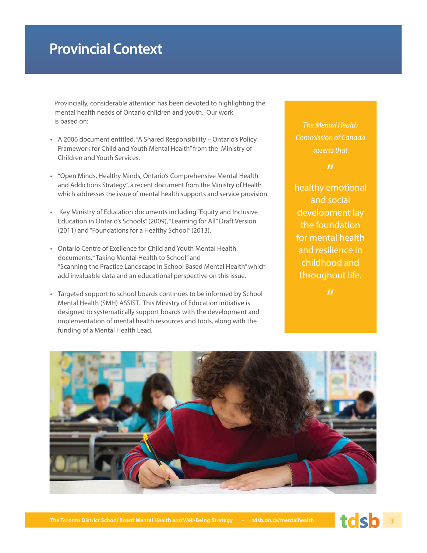## **Provincial Context**

Provincially, considerable attention has been devoted to highlighting the mental health needs of Ontario children and youth. Our work is based on:

- A 2006 document entitled, "A Shared Responsibility Ontario's Policy Framework for Child and Youth Mental Health" from the Ministry of Children and Youth Services.
- "Open Minds, Healthy Minds, Ontario's Comprehensive Mental Health and Addictions Strategy", a recent document from the Ministry of Health which addresses the issue of mental health supports and service provision.
- Key Ministry of Education documents including "Equity and Inclusive Education in Ontario's Schools" (2009), "Learning for All" Draft Version (2011) and "Foundations for a Healthy School" (2013).
- Ontario Centre of Exellence for Child and Youth Mental Health documents, "Taking Mental Health to School" and "Scanning the Practice Landscape in School Based Mental Health" which add invaluable data and an educational perspective on this issue.
- Targeted support to school boards continues to be informed by School Mental Health (SMH) ASSIST. This Ministry of Education initiative is designed to systematically support boards with the development and implementation of mental health resources and tools, along with the funding of a Mental Health Lead.

*The Mental Health Commission of Canada asserts that*

#### $\boldsymbol{\mathcal{U}}$

healthy emotional and social development lay the foundation for mental health and resilience in childhood and throughout life.



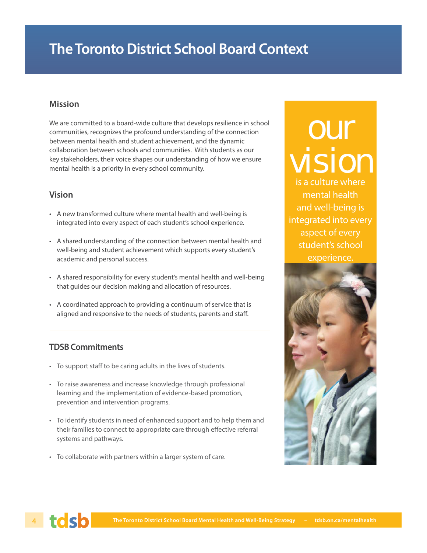## **The Toronto District School Board Context**

#### **Mission**

We are committed to a board-wide culture that develops resilience in school communities, recognizes the profound understanding of the connection between mental health and student achievement, and the dynamic collaboration between schools and communities. With students as our key stakeholders, their voice shapes our understanding of how we ensure mental health is a priority in every school community.

#### **Vision**

- A new transformed culture where mental health and well-being is integrated into every aspect of each student's school experience.
- A shared understanding of the connection between mental health and well-being and student achievement which supports every student's academic and personal success.
- A shared responsibility for every student's mental health and well-being that guides our decision making and allocation of resources.
- A coordinated approach to providing a continuum of service that is aligned and responsive to the needs of students, parents and staff.

#### **TDSB Commitments**

- To support staff to be caring adults in the lives of students.
- To raise awareness and increase knowledge through professional learning and the implementation of evidence-based promotion, prevention and intervention programs.
- To identify students in need of enhanced support and to help them and their families to connect to appropriate care through effective referral systems and pathways.
- To collaborate with partners within a larger system of care.

## our vision

is a culture where mental health and well-being is integrated into every aspect of every student's school experience.



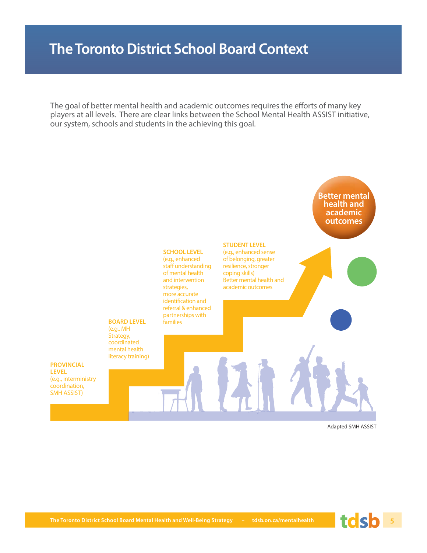## **The Toronto District School Board Context**

The goal of better mental health and academic outcomes requires the efforts of many key players at all levels. There are clear links between the School Mental Health ASSIST initiative, our system, schools and students in the achieving this goal.



Adapted SMH ASSIST

**PROVINCIAL LEVEL**  (e.g., interministry coordination, SMH ASSIST)

**The Toronto District School Board Mental Health and Well-Being Strategy – tdsb.on.ca/mentalhealth 5**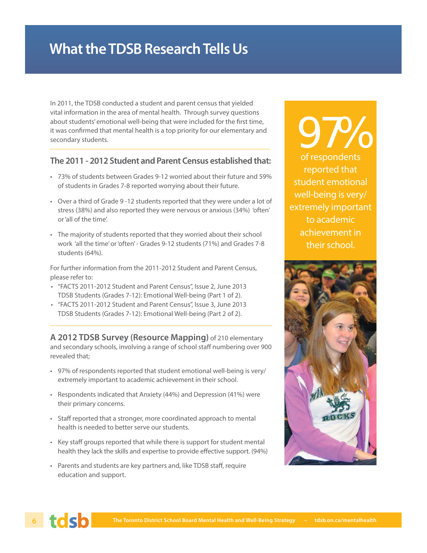## **What the TDSB Research Tells Us**

In 2011, the TDSB conducted a student and parent census that yielded vital information in the area of mental health. Through survey questions about students' emotional well-being that were included for the first time, it was confirmed that mental health is a top priority for our elementary and secondary students.

#### **The 2011 - 2012 Student and Parent Census established that:**

- 73% of students between Grades 9-12 worried about their future and 59% of students in Grades 7-8 reported worrying about their future.
- Over a third of Grade 9 -12 students reported that they were under a lot of stress (38%) and also reported they were nervous or anxious (34%) 'often' or 'all of the time'.
- The majority of students reported that they worried about their school work 'all the time' or 'often' - Grades 9-12 students (71%) and Grades 7-8 students (64%).

For further information from the 2011-2012 Student and Parent Census, please refer to:

- "FACTS 2011-2012 Student and Parent Census", Issue 2, June 2013 TDSB Students (Grades 7-12): Emotional Well-being (Part 1 of 2).
- "FACTS 2011-2012 Student and Parent Census", Issue 3, June 2013 TDSB Students (Grades 7-12): Emotional Well-being (Part 2 of 2).

**A 2012 TDSB Survey (Resource Mapping)** of 210 elementary and secondary schools, involving a range of school staff numbering over 900 revealed that;

- 97% of respondents reported that student emotional well-being is very/ extremely important to academic achievement in their school.
- Respondents indicated that Anxiety (44%) and Depression (41%) were their primary concerns.
- Staff reported that a stronger, more coordinated approach to mental health is needed to better serve our students.
- Key staff groups reported that while there is support for student mental health they lack the skills and expertise to provide effective support. (94%)
- Parents and students are key partners and, like TDSB staff, require education and support.

97% of respondents reported that student emotional well-being is very/ extremely important to academic achievement in their school.



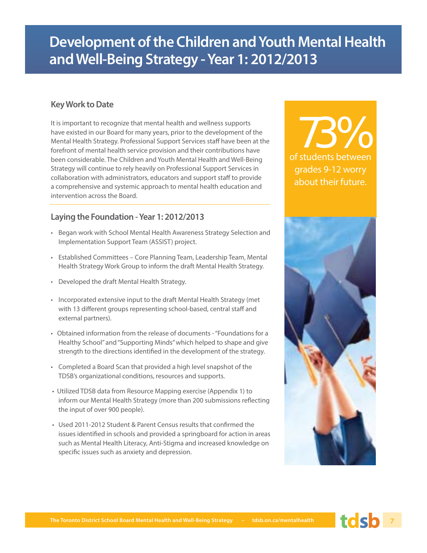## **Development of the Children and Youth Mental Health and Well-Being Strategy - Year 1: 2012/2013**

#### **Key Work to Date**

It is important to recognize that mental health and wellness supports have existed in our Board for many years, prior to the development of the Mental Health Strategy. Professional Support Services staff have been at the forefront of mental health service provision and their contributions have been considerable. The Children and Youth Mental Health and Well-Being Strategy will continue to rely heavily on Professional Support Services in collaboration with administrators, educators and support staff to provide a comprehensive and systemic approach to mental health education and intervention across the Board.

#### **Laying the Foundation - Year 1: 2012/2013**

- Began work with School Mental Health Awareness Strategy Selection and Implementation Support Team (ASSIST) project.
- Established Committees Core Planning Team, Leadership Team, Mental Health Strategy Work Group to inform the draft Mental Health Strategy.
- Developed the draft Mental Health Strategy.
- Incorporated extensive input to the draft Mental Health Strategy (met with 13 different groups representing school-based, central staff and external partners).
- Obtained information from the release of documents "Foundations for a Healthy School" and "Supporting Minds" which helped to shape and give strength to the directions identified in the development of the strategy.
- Completed a Board Scan that provided a high level snapshot of the TDSB's organizational conditions, resources and supports.
- Utilized TDSB data from Resource Mapping exercise (Appendix 1) to inform our Mental Health Strategy (more than 200 submissions reflecting the input of over 900 people).
- Used 2011-2012 Student & Parent Census results that confirmed the issues identified in schools and provided a springboard for action in areas such as Mental Health Literacy, Anti-Stigma and increased knowledge on specific issues such as anxiety and depression.

of students between 73% grades 9-12 worry about their future.

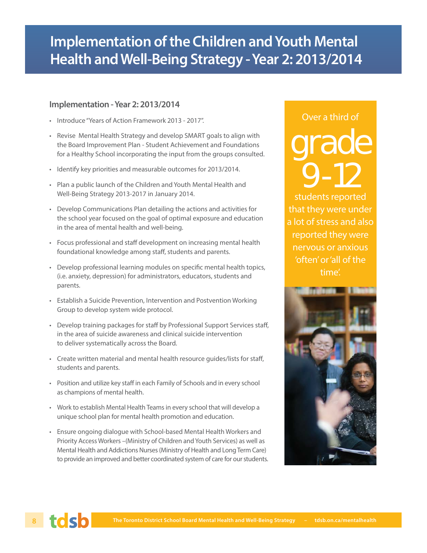## **Implementation of the Children and Youth Mental Health and Well-Being Strategy - Year 2: 2013/2014**

#### **Implementation - Year 2: 2013/2014**

- Introduce "Years of Action Framework 2013 2017".
- Revise Mental Health Strategy and develop SMART goals to align with the Board Improvement Plan - Student Achievement and Foundations for a Healthy School incorporating the input from the groups consulted.
- Identify key priorities and measurable outcomes for 2013/2014.
- Plan a public launch of the Children and Youth Mental Health and Well-Being Strategy 2013-2017 in January 2014.
- Develop Communications Plan detailing the actions and activities for the school year focused on the goal of optimal exposure and education in the area of mental health and well-being.
- Focus professional and staff development on increasing mental health foundational knowledge among staff, students and parents.
- Develop professional learning modules on specific mental health topics, (i.e. anxiety, depression) for administrators, educators, students and parents.
- Establish a Suicide Prevention, Intervention and Postvention Working Group to develop system wide protocol.
- Develop training packages for staff by Professional Support Services staff, in the area of suicide awareness and clinical suicide intervention to deliver systematically across the Board.
- Create written material and mental health resource quides/lists for staff, students and parents.
- Position and utilize key staff in each Family of Schools and in every school as champions of mental health.
- Work to establish Mental Health Teams in every school that will develop a unique school plan for mental health promotion and education.
- Ensure ongoing dialogue with School-based Mental Health Workers and Priority Access Workers –(Ministry of Children and Youth Services) as well as Mental Health and Addictions Nurses (Ministry of Health and Long Term Care) to provide an improved and better coordinated system of care for our students.

## Over a third of grade 9-12

students reported that they were under a lot of stress and also reported they were nervous or anxious 'often' or 'all of the time'.



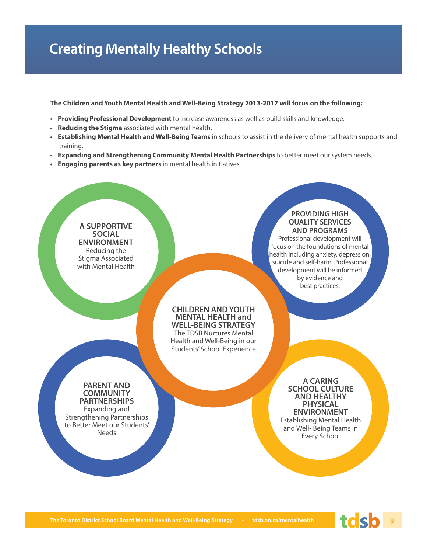## **Creating Mentally Healthy Schools**

**The Children and Youth Mental Health and Well-Being Strategy 2013-2017 will focus on the following:**

- **Providing Professional Development** to increase awareness as well as build skills and knowledge.
- **Reducing the Stigma** associated with mental health.
- **Establishing Mental Health and Well-Being Teams** in schools to assist in the delivery of mental health supports and training.
- **Expanding and Strengthening Community Mental Health Partnerships** to better meet our system needs.
- **Engaging parents as key partners** in mental health initiatives.

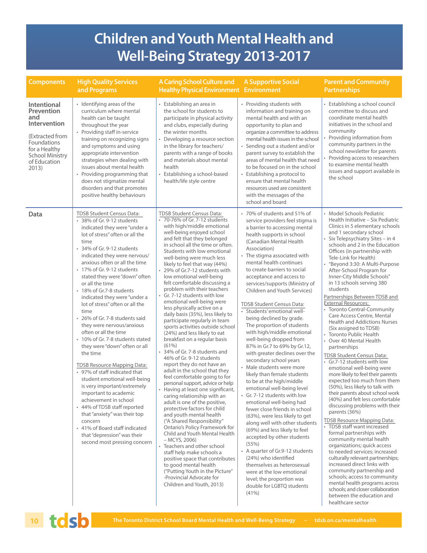## **Children and Youth Mental Health and Well-Being Strategy 2013-2017**

| <b>Components</b>                                                                                                                                             | <b>High Quality Services</b><br>and Programs                                                                                                                                                                                                                                                                                                                                                                                                                                                                                                                                                                                                                                                                                                                                                                                                                                                                                                                          | <b>A Caring School Culture and</b><br><b>Healthy Physical Environment</b>                                                                                                                                                                                                                                                                                                                                                                                                                                                                                                                                                                                                                                                                                                                                                                                                                                                                                                                                                                                                                                                                                                                                                                                                                                                                                                                                     | <b>A Supportive Social</b><br><b>Environment</b>                                                                                                                                                                                                                                                                                                                                                                                                                                                                                                                                                                                                                                                                                                                                                                                                                                                                                                                                                                                                                                                                                                                                                       | <b>Parent and Community</b><br><b>Partnerships</b>                                                                                                                                                                                                                                                                                                                                                                                                                                                                                                                                                                                                                                                                                                                                                                                                                                                                                                                                                                                                                                                                                                                                                                                                                                                                                                                                                                                            |
|---------------------------------------------------------------------------------------------------------------------------------------------------------------|-----------------------------------------------------------------------------------------------------------------------------------------------------------------------------------------------------------------------------------------------------------------------------------------------------------------------------------------------------------------------------------------------------------------------------------------------------------------------------------------------------------------------------------------------------------------------------------------------------------------------------------------------------------------------------------------------------------------------------------------------------------------------------------------------------------------------------------------------------------------------------------------------------------------------------------------------------------------------|---------------------------------------------------------------------------------------------------------------------------------------------------------------------------------------------------------------------------------------------------------------------------------------------------------------------------------------------------------------------------------------------------------------------------------------------------------------------------------------------------------------------------------------------------------------------------------------------------------------------------------------------------------------------------------------------------------------------------------------------------------------------------------------------------------------------------------------------------------------------------------------------------------------------------------------------------------------------------------------------------------------------------------------------------------------------------------------------------------------------------------------------------------------------------------------------------------------------------------------------------------------------------------------------------------------------------------------------------------------------------------------------------------------|--------------------------------------------------------------------------------------------------------------------------------------------------------------------------------------------------------------------------------------------------------------------------------------------------------------------------------------------------------------------------------------------------------------------------------------------------------------------------------------------------------------------------------------------------------------------------------------------------------------------------------------------------------------------------------------------------------------------------------------------------------------------------------------------------------------------------------------------------------------------------------------------------------------------------------------------------------------------------------------------------------------------------------------------------------------------------------------------------------------------------------------------------------------------------------------------------------|-----------------------------------------------------------------------------------------------------------------------------------------------------------------------------------------------------------------------------------------------------------------------------------------------------------------------------------------------------------------------------------------------------------------------------------------------------------------------------------------------------------------------------------------------------------------------------------------------------------------------------------------------------------------------------------------------------------------------------------------------------------------------------------------------------------------------------------------------------------------------------------------------------------------------------------------------------------------------------------------------------------------------------------------------------------------------------------------------------------------------------------------------------------------------------------------------------------------------------------------------------------------------------------------------------------------------------------------------------------------------------------------------------------------------------------------------|
| <b>Intentional</b><br>Prevention<br>and<br>Intervention<br>(Extracted from<br>Foundations<br>for a Healthy<br><b>School Ministry</b><br>of Education<br>2013) | • Identifying areas of the<br>curriculum where mental<br>health can be taught<br>throughout the year<br>• Providing staff in-service<br>training on recognizing signs<br>and symptoms and using<br>appropriate intervention<br>strategies when dealing with<br>issues about mental health<br>• Providing programming that<br>does not stigmatize mental<br>disorders and that promotes<br>positive healthy behaviours                                                                                                                                                                                                                                                                                                                                                                                                                                                                                                                                                 | • Establishing an area in<br>the school for students to<br>participate in physical activity<br>and clubs, especially during<br>the winter months<br>Developing a resource section<br>in the library for teachers/<br>parents with a range of books<br>and materials about mental<br>health<br>• Establishing a school-based<br>health/life style centre                                                                                                                                                                                                                                                                                                                                                                                                                                                                                                                                                                                                                                                                                                                                                                                                                                                                                                                                                                                                                                                       | • Providing students with<br>information and training on<br>mental health and with an<br>opportunity to plan and<br>organize a committee to address<br>mental health issues in the school<br>• Sending out a student and/or<br>parent survey to establish the<br>areas of mental health that need<br>to be focused on in the school<br>• Establishing a protocol to<br>ensure that mental health<br>resources used are consistent<br>with the messages of the<br>school and board                                                                                                                                                                                                                                                                                                                                                                                                                                                                                                                                                                                                                                                                                                                      | Establishing a school council<br>committee to discuss and<br>coordinate mental health<br>initiatives in the school and<br>community<br>Providing information from<br>community partners in the<br>school newsletter for parents<br>Providing access to researchers<br>to examine mental health<br>issues and support available in<br>the school                                                                                                                                                                                                                                                                                                                                                                                                                                                                                                                                                                                                                                                                                                                                                                                                                                                                                                                                                                                                                                                                                               |
| Data                                                                                                                                                          | TDSB Student Census Data:<br>* 38% of Gr. 9-12 students<br>indicated they were "under a<br>lot of stress" often or all the<br>time<br>* 34% of Gr. 9-12 students<br>indicated they were nervous/<br>anxious often or all the time<br>• 17% of Gr. 9-12 students<br>stated they were "down" often<br>or all the time<br>• 18% of Gr.7-8 students<br>indicated they were "under a<br>lot of stress" often or all the<br>time<br>• 26% of Gr. 7-8 students said<br>they were nervous/anxious<br>often or all the time<br>10% of Gr. 7-8 students stated<br>they were "down" often or all<br>the time<br><b>TDSB Resource Mapping Data:</b><br>• 97% of staff indicated that<br>student emotional well-being<br>is very important/extremely<br>important to academic<br>achievement in school<br>• 44% of TDSB staff reported<br>that "anxiety" was their top<br>concern<br>• 41% of Board staff indicated<br>that "depression" was their<br>second most pressing concern | <b>TDSB Student Census Data:</b><br>• 70-76% of Gr. 7-12 students<br>with high/middle emotional<br>well-being enjoyed school<br>and felt that they belonged<br>in school all the time or often.<br>Students with low emotional<br>well-being were much less<br>likely to feel that way (44%)<br>• 29% of Gr.7-12 students with<br>low emotional well-being<br>felt comfortable discussing a<br>problem with their teachers<br>Gr. 7-12 students with low<br>emotional well-being were<br>less physically active on a<br>daily basis (35%), less likely to<br>participate regularly in team<br>sports activities outside school<br>(24%) and less likely to eat<br>breakfast on a regular basis<br>(61%)<br>34% of Gr. 7-8 students and<br>46% of Gr. 9-12 students<br>report they do not have an<br>adult in the school that they<br>feel comfortable going to for<br>personal support, advice or help<br>• Having at least one significant,<br>caring relationship with an<br>adult is one of the positive,<br>protective factors for child<br>and youth mental health<br>("A Shared Responsibility"<br>Ontario's Policy Framework for<br>Child and Youth Mental Health<br>– MCYS, 2006)<br>• Teachers and other school<br>staff help make schools a<br>positive space that contributes<br>to good mental health<br>("Putting Youth in the Picture"<br>-Provincial Advocate for<br>Children and Youth, 2013) | • 70% of students and 51% of<br>service providers feel stigma is<br>a barrier to accessing mental<br>health supports in school<br>(Canadian Mental Health)<br>Association)<br>• The stigma associated with<br>mental health continues<br>to create barriers to social<br>acceptance and access to<br>services/supports (Ministry of<br>Children and Youth Services)<br>TDSB Student Census Data:<br>· Students' emotional well-<br>being declined by grade.<br>The proportion of students<br>with high/middle emotional<br>well-being dropped from<br>87% in Gr.7 to 69% by Gr.12,<br>with greater declines over the<br>secondary school years<br>• Male students were more<br>likely than female students<br>to be at the high/middle<br>emotional well-being level<br>• Gr. 7-12 students with low<br>emotional well-being had<br>fewer close friends in school<br>(63%), were less likely to get<br>along well with other students<br>(69%) and less likely to feel<br>accepted by other students<br>(55%)<br>• A quarter of Gr.9-12 students<br>(24%) who identified<br>themselves as heterosexual<br>were at the low emotional<br>level; the proportion was<br>double for LGBTQ students<br>(41%) | Model Schools Pediatric<br>Health Initiative - Six Pediatric<br>Clinics in 5 elementary schools<br>and 1 secondary school<br>Six Telepsychiatry Sites - in 4<br>schools and 2 in the Education<br>Offices (in partnership with<br>Tele-Link for Health)<br>"Beyond 3:30: A Multi-Purpose<br>After-School Program for<br>Inner-City Middle Schools"<br>in 13 schools serving 380<br>students<br>Partnerships Between TDSB and<br><b>External Resources:</b><br><b>Toronto Central-Community</b><br>Care Access Centre, Mental<br><b>Health and Addictions Nurses</b><br>(Six assigned to TDSB)<br><b>Toronto Public Health</b><br>• Over 40 Mental Health<br>partnerships<br>TDSB Student Census Data:<br>• Gr.7-12 students with low<br>emotional well-being were<br>more likely to feel their parents<br>expected too much from them<br>(50%), less likely to talk with<br>their parents about school work<br>(40%) and felt less comfortable<br>discussing problems with their<br>parents (36%)<br>TDSB Resource Mapping Data:<br>TDSB staff want increased<br>formal partnerships with<br>community mental health<br>organizations; quick access<br>to needed services; increased<br>culturally relevant partnerships;<br>increased direct links with<br>community partnership and<br>schools; access to community<br>mental health programs across<br>schools; and closer collaboration<br>between the education and<br>healthcare sector |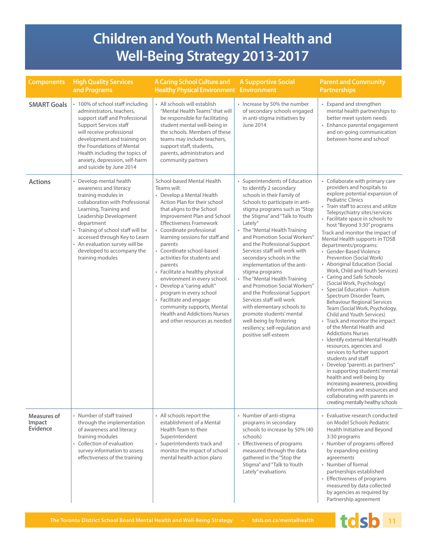## **Children and Youth Mental Health and Well-Being Strategy 2013-2017**

| <b>Components</b>                 | <b>High Quality Services</b><br>and Programs                                                                                                                                                                                                                                                                                         | <b>A Caring School Culture and</b><br><b>Healthy Physical Environment Environment</b>                                                                                                                                                                                                                                                                                                                                                                                                                                                                                                                             | <b>A Supportive Social</b>                                                                                                                                                                                                                                                                                                                                                                                                                                                                                                                                                                                                                                                                            | <b>Parent and Community</b><br><b>Partnerships</b>                                                                                                                                                                                                                                                                                                                                                                                                                                                                                                                                                                                                                                                                                                                                                                                                                                                                                                                                                                                                                                                                                                                                   |
|-----------------------------------|--------------------------------------------------------------------------------------------------------------------------------------------------------------------------------------------------------------------------------------------------------------------------------------------------------------------------------------|-------------------------------------------------------------------------------------------------------------------------------------------------------------------------------------------------------------------------------------------------------------------------------------------------------------------------------------------------------------------------------------------------------------------------------------------------------------------------------------------------------------------------------------------------------------------------------------------------------------------|-------------------------------------------------------------------------------------------------------------------------------------------------------------------------------------------------------------------------------------------------------------------------------------------------------------------------------------------------------------------------------------------------------------------------------------------------------------------------------------------------------------------------------------------------------------------------------------------------------------------------------------------------------------------------------------------------------|--------------------------------------------------------------------------------------------------------------------------------------------------------------------------------------------------------------------------------------------------------------------------------------------------------------------------------------------------------------------------------------------------------------------------------------------------------------------------------------------------------------------------------------------------------------------------------------------------------------------------------------------------------------------------------------------------------------------------------------------------------------------------------------------------------------------------------------------------------------------------------------------------------------------------------------------------------------------------------------------------------------------------------------------------------------------------------------------------------------------------------------------------------------------------------------|
| <b>SMART Goals</b>                | 100% of school staff including<br>administrators, teachers,<br>support staff and Professional<br><b>Support Services staff</b><br>will receive professional<br>development and training on<br>the Foundations of Mental<br>Health including the topics of<br>anxiety, depression, self-harm<br>and suicide by June 2014              | • All schools will establish<br>"Mental Health Teams" that will<br>be responsible for facilitating<br>student mental well-being in<br>the schools. Members of these<br>teams may include teachers,<br>support staff, students,<br>parents, administrators and<br>community partners                                                                                                                                                                                                                                                                                                                               | • Increase by 50% the number<br>of secondary schools engaged<br>in anti-stigma initiatives by<br>June 2014                                                                                                                                                                                                                                                                                                                                                                                                                                                                                                                                                                                            | • Expand and strengthen<br>mental health partnerships to<br>better meet system needs<br>• Enhance parental engagement<br>and on-going communication<br>between home and school                                                                                                                                                                                                                                                                                                                                                                                                                                                                                                                                                                                                                                                                                                                                                                                                                                                                                                                                                                                                       |
| <b>Actions</b>                    | Develop mental health<br>awareness and literacy<br>training modules in<br>collaboration with Professional<br>Learning, Training and<br>Leadership Development<br>department<br>• Training of school staff will be<br>accessed through Key to Learn<br>An evaluation survey will be<br>developed to accompany the<br>training modules | School-based Mental Health<br>Teams will:<br>• Develop a Mental Health<br>Action Plan for their school<br>that aligns to the School<br>Improvement Plan and School<br><b>Effectiveness Framework</b><br>• Coordinate professional<br>learning sessions for staff and<br>parents<br>• Coordinate school-based<br>activities for students and<br>parents<br>• Facilitate a healthy physical<br>environment in every school.<br>Develop a "caring adult"<br>program in every school<br>• Facilitate and engage<br>community supports, Mental<br><b>Health and Addictions Nurses</b><br>and other resources as needed | Superintendents of Education<br>to identify 2 secondary<br>schools in their Family of<br>Schools to participate in anti-<br>stigma programs such as "Stop<br>the Stigma" and "Talk to Youth<br>Lately"<br>• The "Mental Health Training<br>and Promotion Social Workers"<br>and the Professional Support<br>Services staff will work with<br>secondary schools in the<br>implementation of the anti-<br>stigma programs<br>• The "Mental Health Training<br>and Promotion Social Workers"<br>and the Professional Support<br>Services staff will work<br>with elementary schools to<br>promote students' mental<br>well-being by fostering<br>resiliency, self-regulation and<br>positive self-esteem | • Collaborate with primary care<br>providers and hospitals to<br>explore potential expansion of<br><b>Pediatric Clinics</b><br>• Train staff to access and utilize<br>Telepsychiatry sites/services<br>• Facilitate space in schools to<br>host "Beyond 3:30" programs<br>Track and monitor the impact of<br>Mental Health supports in TDSB<br>departments/programs:<br>• Gender-Based Violence<br>Prevention (Social Work)<br>• Aboriginal Education (Social<br>Work, Child and Youth Services)<br>• Caring and Safe Schools<br>(Social Work, Psychology)<br>• Special Education - Autism<br>Spectrum Disorder Team,<br><b>Behaviour Regional Services</b><br>Team (Social Work, Psychology,<br>Child and Youth Services)<br>• Track and monitor the impact<br>of the Mental Health and<br><b>Addictions Nurses</b><br>• Identify external Mental Health<br>resources, agencies and<br>services to further support<br>students and staff<br>• Develop "parents as partners"<br>in supporting students' mental<br>health and well-being by<br>increasing awareness, providing<br>information and resources and<br>collaborating with parents in<br>creating mentally healthy schools |
| Measures of<br>Impact<br>Evidence | • Number of staff trained<br>through the implementation<br>of awareness and literacy<br>training modules<br>• Collection of evaluation<br>survey information to assess<br>effectiveness of the training                                                                                                                              | • All schools report the<br>establishment of a Mental<br>Health Team to their<br>Superintendent<br>• Superintendents track and<br>monitor the impact of school<br>mental health action plans                                                                                                                                                                                                                                                                                                                                                                                                                      | • Number of anti-stigma<br>programs in secondary<br>schools to increase by 50% (40<br>schools)<br>• Effectiveness of programs<br>measured through the data<br>gathered in the "Stop the<br>Stigma" and "Talk to Youth<br>Lately" evaluations                                                                                                                                                                                                                                                                                                                                                                                                                                                          | • Evaluative research conducted<br>on Model Schools Pediatric<br>Health Initiative and Beyond<br>3:30 programs<br>• Number of programs offered<br>by expanding existing<br>agreements<br>• Number of formal<br>partnerships established<br>• Effectiveness of programs<br>measured by data collected<br>by agencies as required by<br>Partnership agreement                                                                                                                                                                                                                                                                                                                                                                                                                                                                                                                                                                                                                                                                                                                                                                                                                          |

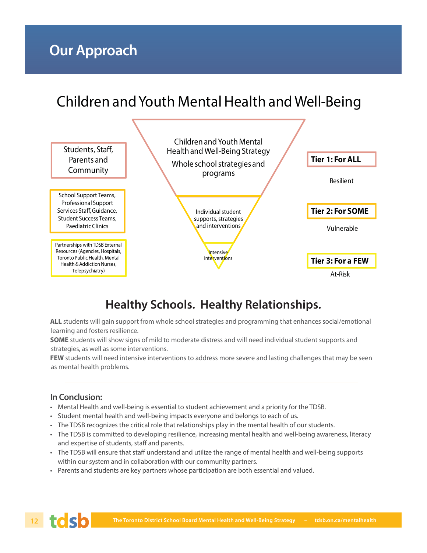## Children and Youth Mental Health and Well-Being



### **Healthy Schools. Healthy Relationships.**

**ALL** students will gain support from whole school strategies and programming that enhances social/emotional learning and fosters resilience.

**SOME** students will show signs of mild to moderate distress and will need individual student supports and strategies, as well as some interventions.

**FEW** students will need intensive interventions to address more severe and lasting challenges that may be seen as mental health problems.

#### **In Conclusion:**

- Mental Health and well-being is essential to student achievement and a priority for the TDSB.
- Student mental health and well-being impacts everyone and belongs to each of us.
- The TDSB recognizes the critical role that relationships play in the mental health of our students.
- The TDSB is committed to developing resilience, increasing mental health and well-being awareness, literacy and expertise of students, staff and parents.
- The TDSB will ensure that staff understand and utilize the range of mental health and well-being supports within our system and in collaboration with our community partners.
- Parents and students are key partners whose participation are both essential and valued.

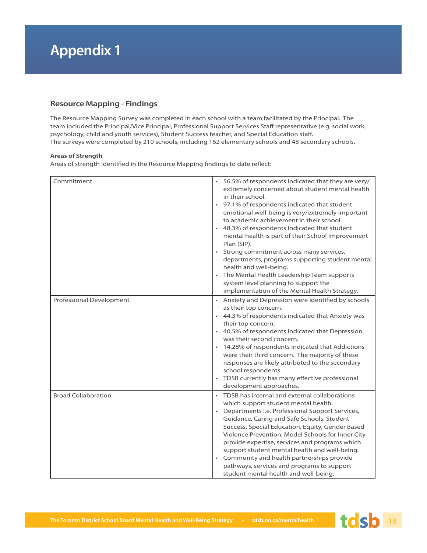## **Appendix 1**

#### **Resource Mapping - Findings**

The Resource Mapping Survey was completed in each school with a team facilitated by the Principal. The team included the Principal/Vice Principal, Professional Support Services Staff representative (e.g. social work, psychology, child and youth services), Student Success teacher, and Special Education staff . The surveys were completed by 210 schools, including 162 elementary schools and 48 secondary schools.

#### **Areas of Strength**

Areas of strength identified in the Resource Mapping findings to date reflect:

| Commitment                 | 56.5% of respondents indicated that they are very/<br>extremely concerned about student mental health<br>in their school.<br>97.1% of respondents indicated that student<br>emotional well-being is very/extremely important<br>to academic achievement in their school.<br>48.3% of respondents indicated that student<br>mental health is part of their School Improvement<br>Plan (SIP).<br>Strong commitment across many services,<br>departments, programs supporting student mental<br>health and well-being.<br>The Mental Health Leadership Team supports<br>system level planning to support the<br>implementation of the Mental Health Strategy. |
|----------------------------|------------------------------------------------------------------------------------------------------------------------------------------------------------------------------------------------------------------------------------------------------------------------------------------------------------------------------------------------------------------------------------------------------------------------------------------------------------------------------------------------------------------------------------------------------------------------------------------------------------------------------------------------------------|
| Professional Development   | Anxiety and Depression were identified by schools<br>as their top concern.<br>• 44.3% of respondents indicated that Anxiety was<br>their top concern.<br>• 40.5% of respondents indicated that Depression<br>was their second concern.<br>14.28% of respondents indicated that Addictions<br>were their third concern. The majority of these<br>responses are likely attributed to the secondary<br>school respondents.<br>TDSB currently has many effective professional<br>development approaches.                                                                                                                                                       |
| <b>Broad Collaboration</b> | TDSB has internal and external collaborations<br>which support student mental health.<br>Departments i.e. Professional Support Services,<br>Guidance, Caring and Safe Schools, Student<br>Success, Special Education, Equity, Gender Based<br>Violence Prevention, Model Schools for Inner City<br>provide expertise, services and programs which<br>support student mental health and well-being.<br>Community and health partnerships provide<br>pathways, services and programs to support<br>student mental health and well-being.                                                                                                                     |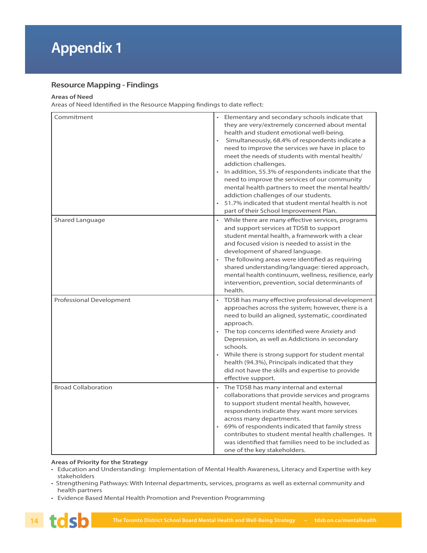#### **Resource Mapping - Findings**

#### **Areas of Need**

Areas of Need Identified in the Resource Mapping findings to date reflect:

| Commitment                 | Elementary and secondary schools indicate that<br>they are very/extremely concerned about mental<br>health and student emotional well-being.<br>Simultaneously, 68.4% of respondents indicate a<br>need to improve the services we have in place to<br>meet the needs of students with mental health/<br>addiction challenges.<br>In addition, 55.3% of respondents indicate that the<br>need to improve the services of our community<br>mental health partners to meet the mental health/<br>addiction challenges of our students.<br>51.7% indicated that student mental health is not<br>part of their School Improvement Plan. |
|----------------------------|-------------------------------------------------------------------------------------------------------------------------------------------------------------------------------------------------------------------------------------------------------------------------------------------------------------------------------------------------------------------------------------------------------------------------------------------------------------------------------------------------------------------------------------------------------------------------------------------------------------------------------------|
| Shared Language            | While there are many effective services, programs<br>and support services at TDSB to support<br>student mental health, a framework with a clear<br>and focused vision is needed to assist in the<br>development of shared language.<br>• The following areas were identified as requiring<br>shared understanding/language: tiered approach,<br>mental health continuum, wellness, resilience, early<br>intervention, prevention, social determinants of<br>health.                                                                                                                                                                 |
| Professional Development   | TDSB has many effective professional development<br>$\bullet$<br>approaches across the system; however, there is a<br>need to build an aligned, systematic, coordinated<br>approach.<br>• The top concerns identified were Anxiety and<br>Depression, as well as Addictions in secondary<br>schools.<br>While there is strong support for student mental<br>health (94.3%), Principals indicated that they<br>did not have the skills and expertise to provide<br>effective support.                                                                                                                                                |
| <b>Broad Collaboration</b> | The TDSB has many internal and external<br>collaborations that provide services and programs<br>to support student mental health, however,<br>respondents indicate they want more services<br>across many departments.<br>69% of respondents indicated that family stress<br>contributes to student mental health challenges. It<br>was identified that families need to be included as<br>one of the key stakeholders.                                                                                                                                                                                                             |

#### **Areas of Priority for the Strategy**

- Education and Understanding: Implementation of Mental Health Awareness, Literacy and Expertise with key stakeholders
- Strengthening Pathways: With Internal departments, services, programs as well as external community and health partners
- Evidence Based Mental Health Promotion and Prevention Programming

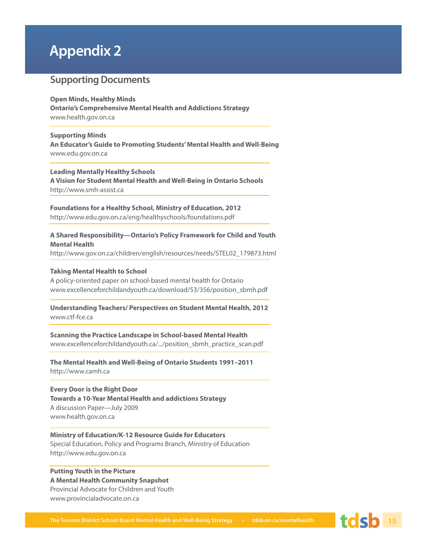## **Appendix 2**

#### **Supporting Documents**

#### **Open Minds, Healthy Minds**

**Ontario's Comprehensive Mental Health and Addictions Strategy** www.health.gov.on.ca

#### **Supporting Minds**

**An Educator's Guide to Promoting Students' Mental Health and Well-Being**  www.edu.gov.on.ca

#### **Leading Mentally Healthy Schools**

**A Vision for Student Mental Health and Well-Being in Ontario Schools** http://www.smh-assist.ca

**Foundations for a Healthy School, Ministry of Education, 2012**  http://www.edu.gov.on.ca/eng/healthyschools/foundations.pdf

#### **A Shared Responsibility—Ontario's Policy Framework for Child and Youth Mental Health**

http://www.gov.on.ca/children/english/resources/needs/STEL02\_179873.html

#### **Taking Mental Health to School**

A policy-oriented paper on school-based mental health for Ontario www.excellenceforchildandyouth.ca/download/53/356/position\_sbmh.pdf

**Understanding Teachers/ Perspectives on Student Mental Health, 2012** www.ctf-fce.ca

**Scanning the Practice Landscape in School-based Mental Health** www.excellenceforchildandyouth.ca/.../position\_sbmh\_practice\_scan.pdf

**The Mental Health and Well-Being of Ontario Students 1991–2011** http://www.camh.ca

**Every Door is the Right Door Towards a 10-Year Mental Health and addictions Strategy** A discussion Paper—July 2009 www.health.gov.on.ca

**Ministry of Education/K-12 Resource Guide for Educators** Special Education, Policy and Programs Branch, Ministry of Education http://www.edu.gov.on.ca

#### **Putting Youth in the Picture A Mental Health Community Snapshot** Provincial Advocate for Children and Youth www.provincialadvocate.on.ca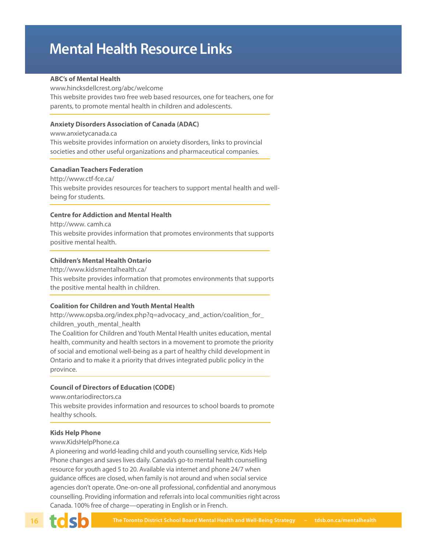## **Mental Health Resource Links**

#### **ABC's of Mental Health**

www.hincksdellcrest.org/abc/welcome This website provides two free web based resources, one for teachers, one for parents, to promote mental health in children and adolescents.

#### **Anxiety Disorders Association of Canada (ADAC)**

www.anxietycanada.ca This website provides information on anxiety disorders, links to provincial societies and other useful organizations and pharmaceutical companies.

#### **Canadian Teachers Federation**

http://www.ctf-fce.ca/ This website provides resources for teachers to support mental health and wellbeing for students.

#### **Centre for Addiction and Mental Health**

http://www. camh.ca This website provides information that promotes environments that supports positive mental health.

#### **Children's Mental Health Ontario**

http://www.kidsmentalhealth.ca/

This website provides information that promotes environments that supports the positive mental health in children.

#### **Coalition for Children and Youth Mental Health**

http://www.opsba.org/index.php?q=advocacy\_and\_action/coalition\_for\_ children\_youth\_mental\_health

The Coalition for Children and Youth Mental Health unites education, mental health, community and health sectors in a movement to promote the priority of social and emotional well-being as a part of healthy child development in Ontario and to make it a priority that drives integrated public policy in the province.

#### **Council of Directors of Education (CODE)**

www.ontariodirectors.ca

This website provides information and resources to school boards to promote healthy schools.

#### **Kids Help Phone**

www.KidsHelpPhone.ca

A pioneering and world-leading child and youth counselling service, Kids Help Phone changes and saves lives daily. Canada's go-to mental health counselling resource for youth aged 5 to 20. Available via internet and phone 24/7 when guidance offices are closed, when family is not around and when social service agencies don't operate. One-on-one all professional, confidential and anonymous counselling. Providing information and referrals into local communities right across Canada. 100% free of charge—operating in English or in French.

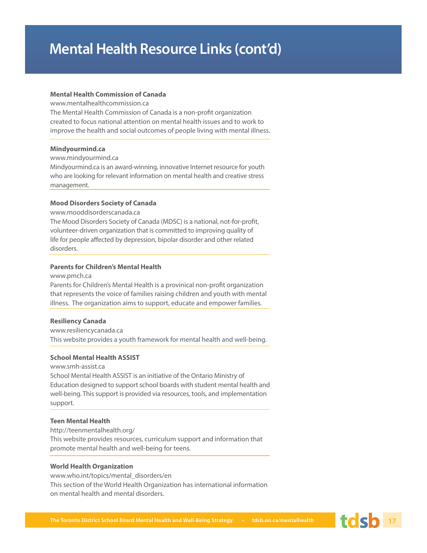#### **Mental Health Commission of Canada**

www.mentalhealthcommission.ca

The Mental Health Commission of Canada is a non-profit organization created to focus national attention on mental health issues and to work to improve the health and social outcomes of people living with mental illness.

#### **Mindyourmind.ca**

#### www.mindyourmind.ca

Mindyourmind.ca is an award-winning, innovative Internet resource for youth who are looking for relevant information on mental health and creative stress management.

#### **Mood Disorders Society of Canada**

www.mooddisorderscanada.ca

The Mood Disorders Society of Canada (MDSC) is a national, not-for-profit, volunteer-driven organization that is committed to improving quality of life for people affected by depression, bipolar disorder and other related disorders.

#### **Parents for Children's Mental Health**

www.pmch.ca

Parents for Children's Mental Health is a provinical non-profit organization that represents the voice of families raising children and youth with mental illness. The organization aims to support, educate and empower families.

#### **Resiliency Canada**

www.resiliencycanada.ca This website provides a youth framework for mental health and well-being.

#### **School Mental Health ASSIST**

#### www.smh-assist.ca

School Mental Health ASSIST is an initiative of the Ontario Ministry of Education designed to support school boards with student mental health and well-being. This support is provided via resources, tools, and implementation support.

#### **Teen Mental Health**

http://teenmentalhealth.org/ This website provides resources, curriculum support and information that promote mental health and well-being for teens.

#### **World Health Organization**

www.who.int/topics/mental\_disorders/en This section of the World Health Organization has international information on mental health and mental disorders.